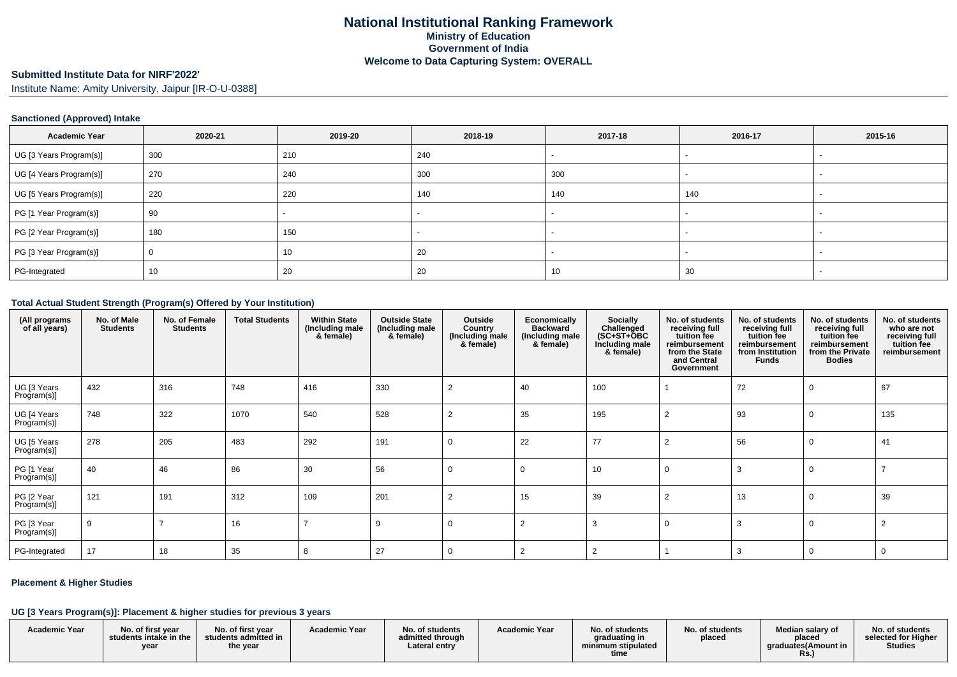#### **Submitted Institute Data for NIRF'2022'**

Institute Name: Amity University, Jaipur [IR-O-U-0388]

### **Sanctioned (Approved) Intake**

| <b>Academic Year</b>    | 2020-21 | 2019-20 | 2018-19 | 2017-18 | 2016-17 | 2015-16 |
|-------------------------|---------|---------|---------|---------|---------|---------|
| UG [3 Years Program(s)] | 300     | 210     | 240     |         |         |         |
| UG [4 Years Program(s)] | 270     | 240     | 300     | 300     |         |         |
| UG [5 Years Program(s)] | 220     | 220     | 140     | 140     | 140     |         |
| PG [1 Year Program(s)]  | 90      |         |         |         |         |         |
| PG [2 Year Program(s)]  | 180     | 150     | $\sim$  |         |         |         |
| PG [3 Year Program(s)]  |         | 10      | 20      |         |         |         |
| PG-Integrated           | 10      | 20      | 20      | 10      | 30      |         |

#### **Total Actual Student Strength (Program(s) Offered by Your Institution)**

| (All programs<br>of all years) | No. of Male<br><b>Students</b> | No. of Female<br><b>Students</b> | <b>Total Students</b> | <b>Within State</b><br>(Including male<br>& female) | <b>Outside State</b><br>(Including male<br>& female) | Outside<br>Country<br>(Including male<br>& female) | Economically<br><b>Backward</b><br>(Including male<br>& female) | <b>Socially</b><br>Challenged<br>$(SC+ST+OBC)$<br>Including male<br>& female) | No. of students<br>receiving full<br>tuition fee<br>reimbursement<br>from the State<br>and Central<br>Government | No. of students<br>receiving full<br>tuition fee<br>reimbursement<br>from Institution<br><b>Funds</b> | No. of students<br>receiving full<br>tuition fee<br>reimbursement<br>from the Private<br><b>Bodies</b> | No. of students<br>who are not<br>receiving full<br>tuition fee<br>reimbursement |
|--------------------------------|--------------------------------|----------------------------------|-----------------------|-----------------------------------------------------|------------------------------------------------------|----------------------------------------------------|-----------------------------------------------------------------|-------------------------------------------------------------------------------|------------------------------------------------------------------------------------------------------------------|-------------------------------------------------------------------------------------------------------|--------------------------------------------------------------------------------------------------------|----------------------------------------------------------------------------------|
| UG [3 Years<br>Program(s)]     | 432                            | 316                              | 748                   | 416                                                 | 330                                                  | 2                                                  | 40                                                              | 100                                                                           |                                                                                                                  | 72                                                                                                    |                                                                                                        | 67                                                                               |
| UG [4 Years<br>Program(s)]     | 748                            | 322                              | 1070                  | 540                                                 | 528                                                  | 2                                                  | 35                                                              | 195                                                                           | $\overline{2}$                                                                                                   | 93                                                                                                    |                                                                                                        | 135                                                                              |
| UG [5 Years<br>Program(s)]     | 278                            | 205                              | 483                   | 292                                                 | 191                                                  | $\mathbf 0$                                        | 22                                                              | 77                                                                            | $\overline{2}$                                                                                                   | 56                                                                                                    |                                                                                                        | 41                                                                               |
| PG [1 Year<br>Program(s)]      | 40                             | 46                               | 86                    | 30                                                  | 56                                                   | 0                                                  | $\Omega$                                                        | 10                                                                            | $\Omega$                                                                                                         |                                                                                                       |                                                                                                        |                                                                                  |
| PG [2 Year<br>Program(s)]      | 121                            | 191                              | 312                   | 109                                                 | 201                                                  | 2                                                  | 15                                                              | 39                                                                            | $\overline{2}$                                                                                                   | 13                                                                                                    |                                                                                                        | 39                                                                               |
| PG [3 Year<br>Program(s)]      | 9                              |                                  | 16                    |                                                     | 9                                                    | 0                                                  | $\overline{2}$                                                  | 3                                                                             | $\Omega$                                                                                                         |                                                                                                       |                                                                                                        |                                                                                  |
| PG-Integrated                  | 17                             | 18                               | 35                    | 8                                                   | 27                                                   | 0                                                  | $\overline{2}$                                                  |                                                                               |                                                                                                                  |                                                                                                       |                                                                                                        | - 0                                                                              |

### **Placement & Higher Studies**

### **UG [3 Years Program(s)]: Placement & higher studies for previous 3 years**

| <b>Academic Year</b> | No. of first vear<br>students intake in the<br>vear | No. of first vear<br>students admitted in<br>the year | <b>Academic Year</b> | No. of students<br>admitted through<br>Lateral entry | <b>Academic Year</b> | No. of students<br>graduating in<br>minimum stipulated<br>time | No. of students<br>placed | Median salarv of<br>placed<br>araduates(Amount in<br>Rs. | No. of students<br>selected for Higher<br><b>Studies</b> |
|----------------------|-----------------------------------------------------|-------------------------------------------------------|----------------------|------------------------------------------------------|----------------------|----------------------------------------------------------------|---------------------------|----------------------------------------------------------|----------------------------------------------------------|
|                      |                                                     |                                                       |                      |                                                      |                      |                                                                |                           |                                                          |                                                          |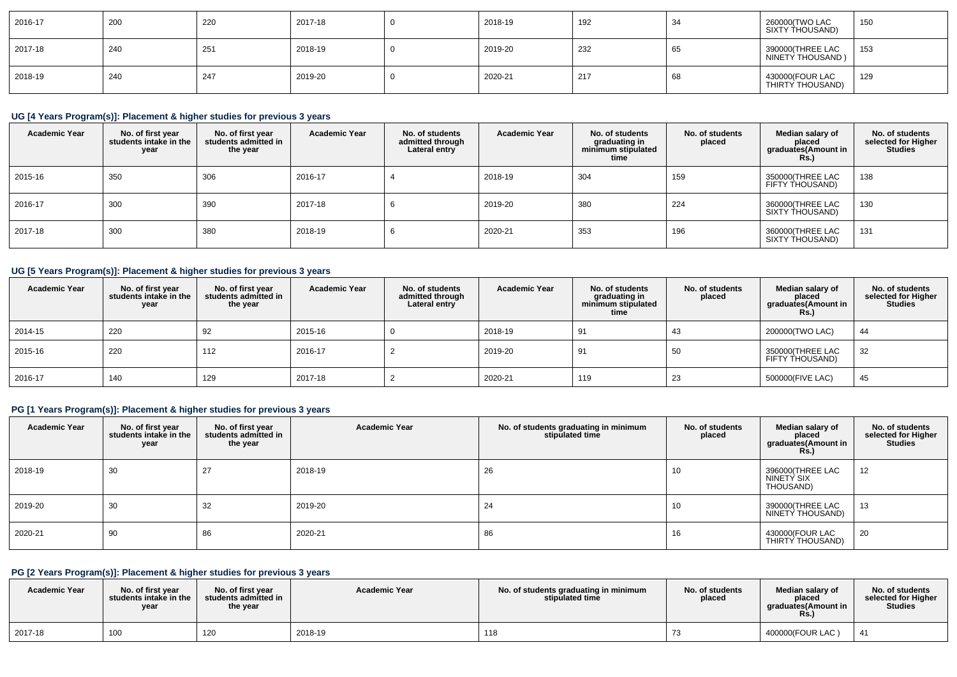| 2016-17 | 200 | 220 | 2017-18 | 2018-19 | 192 | 34           | 260000(TWO LAC<br>SIXTY THOUSAND)     | 150 |
|---------|-----|-----|---------|---------|-----|--------------|---------------------------------------|-----|
| 2017-18 | 240 | 251 | 2018-19 | 2019-20 | 232 | $\sim$<br>ხხ | 390000(THREE LAC<br>NINETY THOUSAND ) | 153 |
| 2018-19 | 240 | 247 | 2019-20 | 2020-21 | 217 | 68           | 430000(FOUR LAC<br>  THIRTY THOUSAND) | 129 |

# **UG [4 Years Program(s)]: Placement & higher studies for previous 3 years**

| <b>Academic Year</b> | No. of first year<br>students intake in the<br>year | No. of first vear<br>students admitted in<br>the year | <b>Academic Year</b> | No. of students<br>admitted through<br>Lateral entry | <b>Academic Year</b> | No. of students<br>graduating in<br>minimum stipulated<br>time | No. of students<br>placed | Median salary of<br>placed<br>graduates(Amount in<br>Rs.) | No. of students<br>selected for Higher<br><b>Studies</b> |
|----------------------|-----------------------------------------------------|-------------------------------------------------------|----------------------|------------------------------------------------------|----------------------|----------------------------------------------------------------|---------------------------|-----------------------------------------------------------|----------------------------------------------------------|
| 2015-16              | 350                                                 | 306                                                   | 2016-17              |                                                      | 2018-19              | 304                                                            | 159                       | 350000(THREE LAC<br>FIFTY THOUSAND)                       | 138                                                      |
| 2016-17              | 300                                                 | 390                                                   | 2017-18              |                                                      | 2019-20              | 380                                                            | 224                       | 360000(THREE LAC<br>SIXTY THOUSAND)                       | 130                                                      |
| 2017-18              | 300                                                 | 380                                                   | 2018-19              |                                                      | 2020-21              | 353                                                            | 196                       | 360000(THREE LAC<br>SIXTY THOUSAND)                       | 131                                                      |

# **UG [5 Years Program(s)]: Placement & higher studies for previous 3 years**

| <b>Academic Year</b> | No. of first year<br>students intake in the<br>year | No. of first vear<br>students admitted in<br>the year | <b>Academic Year</b> | No. of students<br>admitted through<br>Lateral entry | <b>Academic Year</b> | No. of students<br>graduating in<br>minimum stipulated<br>time | No. of students<br>placed | Median salary of<br>placed<br>graduates(Amount in<br><b>Rs.</b> ) | No. of students<br>selected for Higher<br><b>Studies</b> |
|----------------------|-----------------------------------------------------|-------------------------------------------------------|----------------------|------------------------------------------------------|----------------------|----------------------------------------------------------------|---------------------------|-------------------------------------------------------------------|----------------------------------------------------------|
| 2014-15              | 220                                                 | 92                                                    | 2015-16              |                                                      | 2018-19              | 91                                                             | -43                       | 200000(TWO LAC)                                                   | 44                                                       |
| 2015-16              | 220                                                 | 112                                                   | 2016-17              |                                                      | 2019-20              | 91                                                             | 50                        | 350000(THREE LAC<br>FIFTY THOUSAND)                               | 32                                                       |
| 2016-17              | 140                                                 | 129                                                   | 2017-18              |                                                      | 2020-21              | 119                                                            | 23                        | 500000(FIVE LAC)                                                  | 45                                                       |

# **PG [1 Years Program(s)]: Placement & higher studies for previous 3 years**

| <b>Academic Year</b> | No. of first year<br>students intake in the<br>year | No. of first year<br>students admitted in<br>the year | <b>Academic Year</b> | No. of students graduating in minimum<br>stipulated time | No. of students<br>placed | Median salary of<br>placed<br>graduates(Amount in<br><b>Rs.)</b> | No. of students<br>selected for Higher<br><b>Studies</b> |
|----------------------|-----------------------------------------------------|-------------------------------------------------------|----------------------|----------------------------------------------------------|---------------------------|------------------------------------------------------------------|----------------------------------------------------------|
| 2018-19              | 30                                                  | 27                                                    | 2018-19              | 26                                                       | 10                        | 396000(THREE LAC<br>NINETY SIX<br>THOUSAND)                      | 12                                                       |
| 2019-20              | 30                                                  | 32                                                    | 2019-20              | 24                                                       | 10                        | 390000(THREE LAC<br>NINETY THOUSAND)                             | 13                                                       |
| 2020-21              | 90                                                  | 86                                                    | 2020-21              | 86                                                       | 16                        | 430000(FOUR LAC<br>THIRTY THOUSAND)                              | 20                                                       |

# **PG [2 Years Program(s)]: Placement & higher studies for previous 3 years**

| <b>Academic Year</b> | No. of first vear<br>students intake in the<br>year | No. of first vear<br>students admitted in<br>the year | <b>Academic Year</b> | No. of students graduating in minimum<br>stipulated time | No. of students<br>placed | Median salary of<br>placed<br>araduates(Amount in<br>Rs. | No. of students<br>selected for Higher<br><b>Studies</b> |
|----------------------|-----------------------------------------------------|-------------------------------------------------------|----------------------|----------------------------------------------------------|---------------------------|----------------------------------------------------------|----------------------------------------------------------|
| 2017-18              | 100                                                 | 120                                                   | 2018-19              | 118                                                      |                           | 400000(FOUR LAC)                                         |                                                          |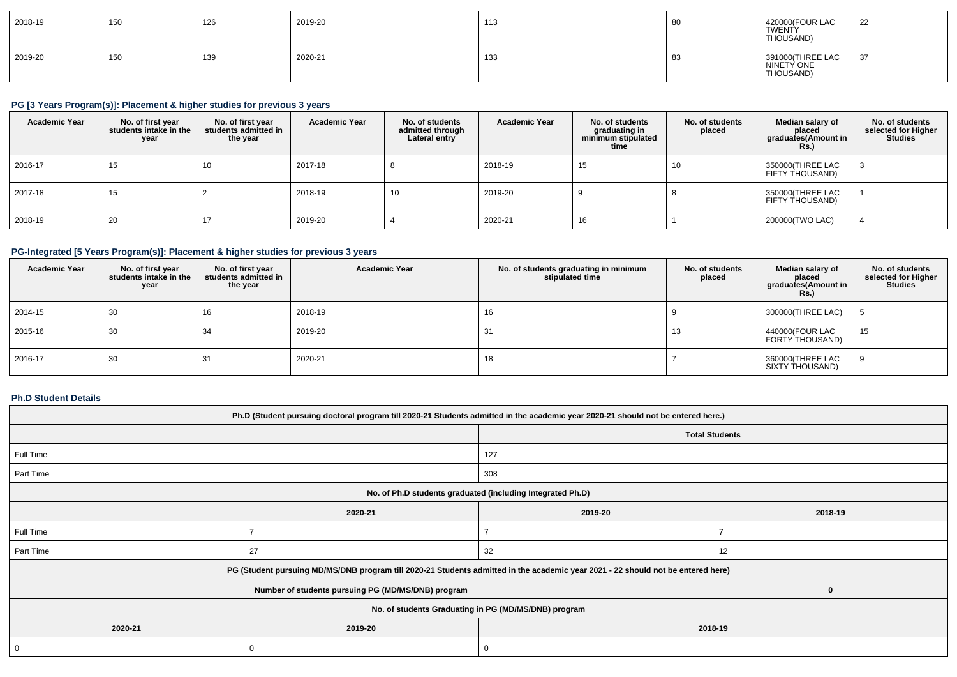| 2018-19 | 150 | 126 | 2019-20 | 113 | 80   | 420000(FOUR LAC<br>TWENTY<br>THOUSAND)      | 22  |
|---------|-----|-----|---------|-----|------|---------------------------------------------|-----|
| 2019-20 | 150 | 139 | 2020-21 | 133 | - 83 | 391000(THREE LAC<br>NINETY ONE<br>THOUSAND) | -37 |

# **PG [3 Years Program(s)]: Placement & higher studies for previous 3 years**

| <b>Academic Year</b> | No. of first year<br>students intake in the<br>year | No. of first vear<br>students admitted in<br>the year | <b>Academic Year</b> | No. of students<br>admitted through<br>Lateral entry | <b>Academic Year</b> | No. of students<br>graduating in<br>minimum stipulated<br>time | No. of students<br>placed | Median salary of<br>placed<br>graduates(Amount in<br>Rs.) | No. of students<br>selected for Higher<br><b>Studies</b> |
|----------------------|-----------------------------------------------------|-------------------------------------------------------|----------------------|------------------------------------------------------|----------------------|----------------------------------------------------------------|---------------------------|-----------------------------------------------------------|----------------------------------------------------------|
| 2016-17              | 15                                                  | 10                                                    | 2017-18              |                                                      | 2018-19              | 15                                                             | 10                        | 350000(THREE LAC<br>FIFTY THOUSAND)                       |                                                          |
| 2017-18              | 15                                                  |                                                       | 2018-19              | 10                                                   | 2019-20              |                                                                |                           | 350000(THREE LAC<br>FIFTY THOUSAND)                       |                                                          |
| 2018-19              | 20                                                  |                                                       | 2019-20              |                                                      | 2020-21              | $\sim$<br>10                                                   |                           | 200000(TWO LAC)                                           |                                                          |

# **PG-Integrated [5 Years Program(s)]: Placement & higher studies for previous 3 years**

| <b>Academic Year</b> | No. of first year<br>students intake in the<br>year | No. of first year<br>students admitted in<br>the year | <b>Academic Year</b> | No. of students graduating in minimum<br>stipulated time | No. of students<br>placed | Median salary of<br>placed<br>graduates(Amount in<br>Rs.) | No. of students<br>selected for Higher<br>Studies |
|----------------------|-----------------------------------------------------|-------------------------------------------------------|----------------------|----------------------------------------------------------|---------------------------|-----------------------------------------------------------|---------------------------------------------------|
| 2014-15              | 30                                                  | 16                                                    | 2018-19              | 16                                                       |                           | 300000(THREE LAC)                                         |                                                   |
| 2015-16              | 30                                                  | 34                                                    | 2019-20              | 31                                                       | 13                        | 440000(FOUR LAC<br>FORTY THOUSAND)                        | 15                                                |
| 2016-17              | 30                                                  | 31                                                    | 2020-21              | 18                                                       |                           | 360000(THREE LAC<br>SIXTY THOUSAND)                       |                                                   |

#### **Ph.D Student Details**

| Ph.D (Student pursuing doctoral program till 2020-21 Students admitted in the academic year 2020-21 should not be entered here.) |                                                                                                                                  |         |                       |  |  |  |  |  |
|----------------------------------------------------------------------------------------------------------------------------------|----------------------------------------------------------------------------------------------------------------------------------|---------|-----------------------|--|--|--|--|--|
|                                                                                                                                  |                                                                                                                                  |         | <b>Total Students</b> |  |  |  |  |  |
| Full Time                                                                                                                        |                                                                                                                                  | 127     |                       |  |  |  |  |  |
| Part Time                                                                                                                        |                                                                                                                                  | 308     |                       |  |  |  |  |  |
| No. of Ph.D students graduated (including Integrated Ph.D)                                                                       |                                                                                                                                  |         |                       |  |  |  |  |  |
| 2020-21<br>2019-20<br>2018-19                                                                                                    |                                                                                                                                  |         |                       |  |  |  |  |  |
| Full Time                                                                                                                        |                                                                                                                                  |         |                       |  |  |  |  |  |
| Part Time                                                                                                                        | 27                                                                                                                               | 32      | 12                    |  |  |  |  |  |
|                                                                                                                                  | PG (Student pursuing MD/MS/DNB program till 2020-21 Students admitted in the academic year 2021 - 22 should not be entered here) |         |                       |  |  |  |  |  |
|                                                                                                                                  | Number of students pursuing PG (MD/MS/DNB) program                                                                               |         | 0                     |  |  |  |  |  |
|                                                                                                                                  | No. of students Graduating in PG (MD/MS/DNB) program                                                                             |         |                       |  |  |  |  |  |
| 2020-21                                                                                                                          | 2019-20                                                                                                                          | 2018-19 |                       |  |  |  |  |  |
| 0                                                                                                                                | 0                                                                                                                                | 0       |                       |  |  |  |  |  |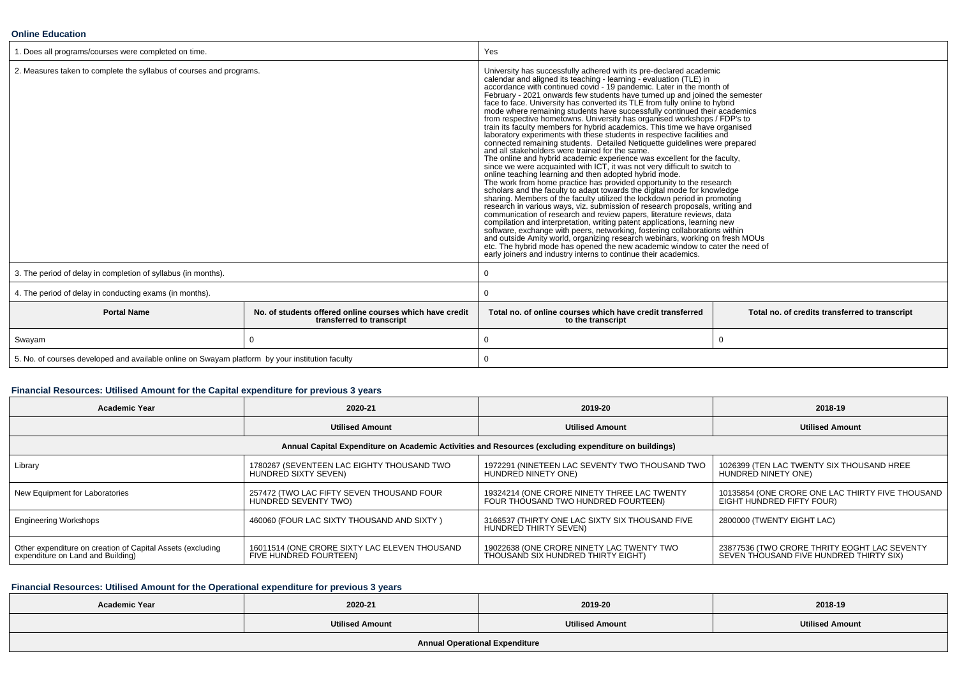#### **Online Education**

| 1. Does all programs/courses were completed on time.                                            |                                                                                       | Yes                                                                                                                                                                                                                                                                                                                                                                                                                                                                                                                                                                                                                                                                                                                                                                                                                                                                                                                                                                                                                                                                                                                                                                                                                                                                                                                                                                                                                                                                                                                                                                                                                                                                                                                                                                                                                                          |  |  |
|-------------------------------------------------------------------------------------------------|---------------------------------------------------------------------------------------|----------------------------------------------------------------------------------------------------------------------------------------------------------------------------------------------------------------------------------------------------------------------------------------------------------------------------------------------------------------------------------------------------------------------------------------------------------------------------------------------------------------------------------------------------------------------------------------------------------------------------------------------------------------------------------------------------------------------------------------------------------------------------------------------------------------------------------------------------------------------------------------------------------------------------------------------------------------------------------------------------------------------------------------------------------------------------------------------------------------------------------------------------------------------------------------------------------------------------------------------------------------------------------------------------------------------------------------------------------------------------------------------------------------------------------------------------------------------------------------------------------------------------------------------------------------------------------------------------------------------------------------------------------------------------------------------------------------------------------------------------------------------------------------------------------------------------------------------|--|--|
| 2. Measures taken to complete the syllabus of courses and programs.                             |                                                                                       | University has successfully adhered with its pre-declared academic<br>calendar and aligned its teaching - learning - evaluation (TLE) in<br>accordance with continued covid - 19 pandemic. Later in the month of<br>February - 2021 onwards few students have turned up and joined the semester<br>face to face. University has converted its TLE from fully online to hybrid<br>mode where remaining students have successfully continued their academics<br>from respective hometowns. University has organised workshops / FDP's to<br>train its faculty members for hybrid academics. This time we have organised<br>laboratory experiments with these students in respective facilities and<br>connected remaining students. Detailed Netiquette guidelines were prepared<br>and all stakeholders were trained for the same.<br>The online and hybrid academic experience was excellent for the faculty,<br>since we were acquainted with ICT, it was not very difficult to switch to<br>online teaching learning and then adopted hybrid mode.<br>The work from home practice has provided opportunity to the research<br>scholars and the faculty to adapt towards the digital mode for knowledge<br>sharing. Members of the faculty utilized the lockdown period in promoting<br>research in various ways, viz. submission of research proposals, writing and<br>communication of research and review papers, literature reviews, data<br>compilation and interpretation, writing patent applications, learning new<br>software, exchange with peers, networking, fostering collaborations within<br>and outside Amity world, organizing research webinars, working on fresh MOUs<br>etc. The hybrid mode has opened the new academic window to cater the need of<br>early joiners and industry interns to continue their academics. |  |  |
| 3. The period of delay in completion of syllabus (in months).                                   |                                                                                       | 0                                                                                                                                                                                                                                                                                                                                                                                                                                                                                                                                                                                                                                                                                                                                                                                                                                                                                                                                                                                                                                                                                                                                                                                                                                                                                                                                                                                                                                                                                                                                                                                                                                                                                                                                                                                                                                            |  |  |
| 4. The period of delay in conducting exams (in months).                                         |                                                                                       |                                                                                                                                                                                                                                                                                                                                                                                                                                                                                                                                                                                                                                                                                                                                                                                                                                                                                                                                                                                                                                                                                                                                                                                                                                                                                                                                                                                                                                                                                                                                                                                                                                                                                                                                                                                                                                              |  |  |
| <b>Portal Name</b>                                                                              | No, of students offered online courses which have credit<br>transferred to transcript | Total no, of online courses which have credit transferred<br>Total no. of credits transferred to transcript<br>to the transcript                                                                                                                                                                                                                                                                                                                                                                                                                                                                                                                                                                                                                                                                                                                                                                                                                                                                                                                                                                                                                                                                                                                                                                                                                                                                                                                                                                                                                                                                                                                                                                                                                                                                                                             |  |  |
| Swayam                                                                                          | $\Omega$                                                                              | $\mathbf 0$                                                                                                                                                                                                                                                                                                                                                                                                                                                                                                                                                                                                                                                                                                                                                                                                                                                                                                                                                                                                                                                                                                                                                                                                                                                                                                                                                                                                                                                                                                                                                                                                                                                                                                                                                                                                                                  |  |  |
| 5. No. of courses developed and available online on Swayam platform by your institution faculty |                                                                                       |                                                                                                                                                                                                                                                                                                                                                                                                                                                                                                                                                                                                                                                                                                                                                                                                                                                                                                                                                                                                                                                                                                                                                                                                                                                                                                                                                                                                                                                                                                                                                                                                                                                                                                                                                                                                                                              |  |  |

### **Financial Resources: Utilised Amount for the Capital expenditure for previous 3 years**

| <b>Academic Year</b>                                                                            | 2020-21                                                                 | 2019-20                                                                                              | 2018-19                                                                                 |  |
|-------------------------------------------------------------------------------------------------|-------------------------------------------------------------------------|------------------------------------------------------------------------------------------------------|-----------------------------------------------------------------------------------------|--|
|                                                                                                 | <b>Utilised Amount</b>                                                  | <b>Utilised Amount</b>                                                                               | <b>Utilised Amount</b>                                                                  |  |
|                                                                                                 |                                                                         | Annual Capital Expenditure on Academic Activities and Resources (excluding expenditure on buildings) |                                                                                         |  |
| Library                                                                                         | 1780267 (SEVENTEEN LAC EIGHTY THOUSAND TWO<br>HUNDRED SIXTY SEVEN)      | 1972291 (NINETEEN LAC SEVENTY TWO THOUSAND TWO<br>HUNDRED NINETY ONE)                                | 1026399 (TEN LAC TWENTY SIX THOUSAND HREE<br>HUNDRED NINETY ONE)                        |  |
| New Equipment for Laboratories                                                                  | 257472 (TWO LAC FIFTY SEVEN THOUSAND FOUR<br>HUNDRED SEVENTY TWO)       | 19324214 (ONE CRORE NINETY THREE LAC TWENTY<br>FOUR THOUSAND TWO HUNDRED FOURTEEN)                   | 10135854 (ONE CRORE ONE LAC THIRTY FIVE THOUSAND<br>EIGHT HUNDRED FIFTY FOUR)           |  |
| <b>Engineering Workshops</b>                                                                    | 460060 (FOUR LAC SIXTY THOUSAND AND SIXTY)                              | 3166537 (THIRTY ONE LAC SIXTY SIX THOUSAND FIVE<br>HUNDRED THIRTY SEVEN)                             | 2800000 (TWENTY EIGHT LAC)                                                              |  |
| Other expenditure on creation of Capital Assets (excluding<br>expenditure on Land and Building) | 16011514 (ONE CRORE SIXTY LAC ELEVEN THOUSAND<br>FIVE HUNDRED FOURTEEN) | 19022638 (ONE CRORE NINETY LAC TWENTY TWO<br>THOUSAND SIX HUNDRED THIRTY EIGHT)                      | 23877536 (TWO CRORE THRITY EOGHT LAC SEVENTY<br>SEVEN THOUSAND FIVE HUNDRED THIRTY SIX) |  |

# **Financial Resources: Utilised Amount for the Operational expenditure for previous 3 years**

| <b>Academic Year</b>                  | 2020-21                | 2019-20                | 2018-19                |  |  |
|---------------------------------------|------------------------|------------------------|------------------------|--|--|
|                                       | <b>Utilised Amount</b> | <b>Utilised Amount</b> | <b>Utilised Amount</b> |  |  |
| <b>Annual Operational Expenditure</b> |                        |                        |                        |  |  |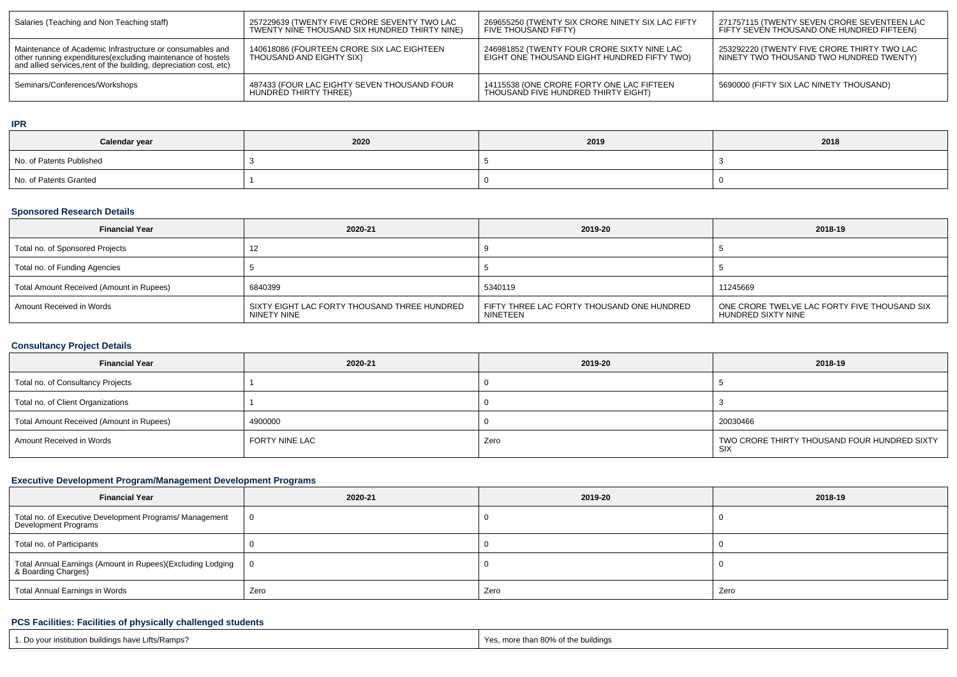| Salaries (Teaching and Non Teaching staff)                                                                                                                                                      | 257229639 (TWENTY FIVE CRORE SEVENTY TWO LAC<br>TWENTY NINE THOUSAND SIX HUNDRED THIRTY NINE) | 269655250 (TWENTY SIX CRORE NINETY SIX LAC FIFTY<br>FIVE THOUSAND FIFTY)                   | 271757115 (TWENTY SEVEN CRORE SEVENTEEN LAC<br>FIFTY SEVÈN THOUSAND ONE HUNDRED FIFTEEN) |  |
|-------------------------------------------------------------------------------------------------------------------------------------------------------------------------------------------------|-----------------------------------------------------------------------------------------------|--------------------------------------------------------------------------------------------|------------------------------------------------------------------------------------------|--|
| Maintenance of Academic Infrastructure or consumables and<br>other running expenditures (excluding maintenance of hostels<br>and allied services, rent of the building, depreciation cost, etc) | 140618086 (FOURTEEN CRORE SIX LAC EIGHTEEN<br>THOUSAND AND EIGHTY SIX)                        | 246981852 (TWENTY FOUR CRORE SIXTY NINE LAC<br>EIGHT ONE THOUSAND EIGHT HUNDRED FIFTY TWO) | 253292220 (TWENTY FIVE CRORE THIRTY TWO LAC<br>NINETY TWO THOUSAND TWO HUNDRED TWENTY)   |  |
| Seminars/Conferences/Workshops                                                                                                                                                                  | 487433 (FOUR LAC EIGHTY SEVEN THOUSAND FOUR<br>HUNDRED THIRTY THREE)                          | 14115538 (ONE CRORE FORTY ONE LAC FIFTEEN<br>THOUSAND FIVE HUNDRED THIRTY EIGHT)           | 5690000 (FIFTY SIX LAC NINETY THOUSAND)                                                  |  |

#### **IPR**

| Calendar year            | 2020 | 2019 | 2018 |  |
|--------------------------|------|------|------|--|
| No. of Patents Published |      |      |      |  |
| No. of Patents Granted   |      |      |      |  |

# **Sponsored Research Details**

| <b>Financial Year</b>                    | 2020-21                                                     | 2019-20                                                | 2018-19                                                            |
|------------------------------------------|-------------------------------------------------------------|--------------------------------------------------------|--------------------------------------------------------------------|
| Total no. of Sponsored Projects          |                                                             |                                                        |                                                                    |
| Total no. of Funding Agencies            |                                                             |                                                        |                                                                    |
| Total Amount Received (Amount in Rupees) | 6840399                                                     | 5340119                                                | 11245669                                                           |
| Amount Received in Words                 | SIXTY EIGHT LAC FORTY THOUSAND THREE HUNDRED<br>NINETY NINE | FIFTY THREE LAC FORTY THOUSAND ONE HUNDRED<br>NINETEEN | ONE CRORE TWELVE LAC FORTY FIVE THOUSAND SIX<br>HUNDRED SIXTY NINE |

# **Consultancy Project Details**

| <b>Financial Year</b>                    | 2020-21        | 2019-20 | 2018-19                                             |
|------------------------------------------|----------------|---------|-----------------------------------------------------|
| Total no. of Consultancy Projects        |                |         |                                                     |
| Total no. of Client Organizations        |                |         |                                                     |
| Total Amount Received (Amount in Rupees) | 4900000        |         | 20030466                                            |
| Amount Received in Words                 | FORTY NINE LAC | Zero    | TWO CRORE THIRTY THOUSAND FOUR HUNDRED SIXTY<br>SIX |

# **Executive Development Program/Management Development Programs**

| <b>Financial Year</b>                                                             | 2020-21 | 2019-20 | 2018-19 |  |  |
|-----------------------------------------------------------------------------------|---------|---------|---------|--|--|
| Total no. of Executive Development Programs/ Management<br>Development Programs   |         |         |         |  |  |
| Total no. of Participants                                                         |         |         |         |  |  |
| Total Annual Earnings (Amount in Rupees)(Excluding Lodging<br>& Boarding Charges) |         |         |         |  |  |
| <b>Total Annual Earnings in Words</b><br>Zero                                     |         | Zero    | Zero    |  |  |

# **PCS Facilities: Facilities of physically challenged students**

| 1. Do your institution buildings have Lifts/Ramps? | Yes, more than 80% of the buildings |
|----------------------------------------------------|-------------------------------------|
|----------------------------------------------------|-------------------------------------|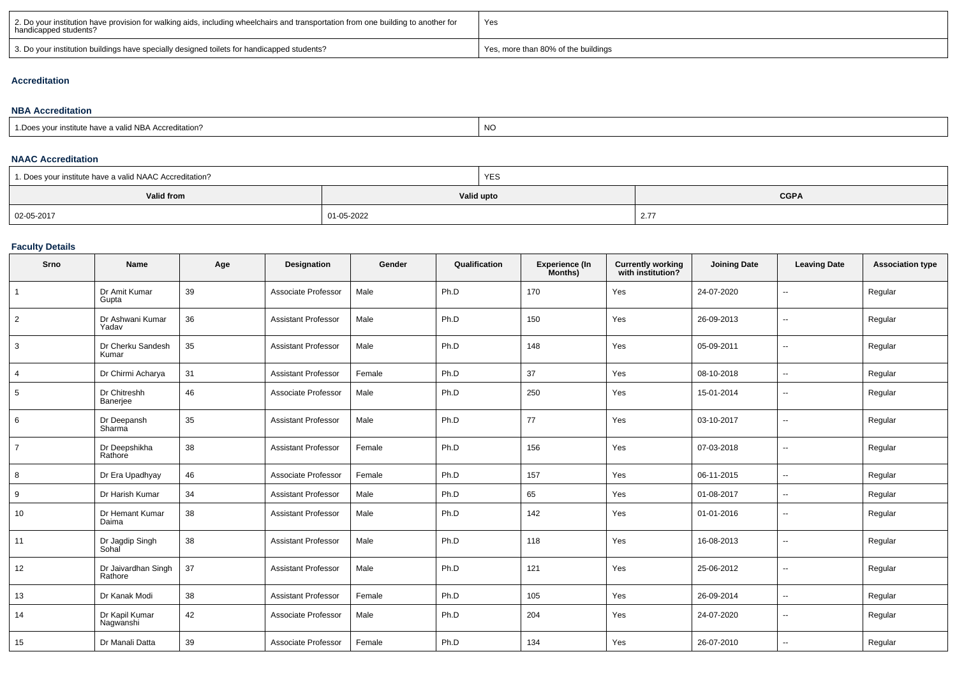| 2. Do your institution have provision for walking aids, including wheelchairs and transportation from one building to another for<br>handicapped students? | 'Yes                                |
|------------------------------------------------------------------------------------------------------------------------------------------------------------|-------------------------------------|
| 3. Do your institution buildings have specially designed toilets for handicapped students?                                                                 | Yes, more than 80% of the buildings |

### **Accreditation**

#### **NBA Accreditation**1.Does your institute have a valid NBA Accreditation?expression of the contract of the contract of the contract of the contract of the contract of the contract of the contract of the contract of the contract of the contract of the contract of the contract of the contract of

#### **NAAC Accreditation**

| <sup>1</sup> 1. Does your institute have a valid NAAC Accreditation? |            | YES |                                  |  |
|----------------------------------------------------------------------|------------|-----|----------------------------------|--|
| Valid from                                                           | Valid upto |     | <b>CGPA</b>                      |  |
| 02-05-2017                                                           | 01-05-2022 |     | $\sim$ $\sim$<br>$\mathcal{L}$ . |  |

### **Faculty Details**

| Srno           | Name                           | Age | Designation                | Gender | Qualification | <b>Experience (In</b><br>Months) | <b>Currently working</b><br>with institution? | <b>Joining Date</b> | <b>Leaving Date</b>      | <b>Association type</b> |
|----------------|--------------------------------|-----|----------------------------|--------|---------------|----------------------------------|-----------------------------------------------|---------------------|--------------------------|-------------------------|
| $\overline{1}$ | Dr Amit Kumar<br>Gupta         | 39  | Associate Professor        | Male   | Ph.D          | 170                              | Yes                                           | 24-07-2020          | --                       | Regular                 |
| $\overline{2}$ | Dr Ashwani Kumar<br>Yadav      | 36  | <b>Assistant Professor</b> | Male   | Ph.D          | 150                              | Yes                                           | 26-09-2013          | $\sim$                   | Regular                 |
| 3              | Dr Cherku Sandesh<br>Kumar     | 35  | <b>Assistant Professor</b> | Male   | Ph.D          | 148                              | Yes                                           | 05-09-2011          | $\sim$                   | Regular                 |
| $\overline{4}$ | Dr Chirmi Acharya              | 31  | <b>Assistant Professor</b> | Female | Ph.D          | 37                               | Yes                                           | 08-10-2018          | $\sim$                   | Regular                 |
| 5              | Dr Chitreshh<br>Banerjee       | 46  | Associate Professor        | Male   | Ph.D          | 250                              | Yes                                           | 15-01-2014          | $\overline{\phantom{a}}$ | Regular                 |
| 6              | Dr Deepansh<br>Sharma          | 35  | <b>Assistant Professor</b> | Male   | Ph.D          | 77                               | Yes                                           | 03-10-2017          | $\sim$                   | Regular                 |
| $\overline{7}$ | Dr Deepshikha<br>Rathore       | 38  | <b>Assistant Professor</b> | Female | Ph.D          | 156                              | Yes                                           | 07-03-2018          | $\sim$                   | Regular                 |
| 8              | Dr Era Upadhyay                | 46  | Associate Professor        | Female | Ph.D          | 157                              | Yes                                           | 06-11-2015          | $\overline{\phantom{a}}$ | Regular                 |
| 9              | Dr Harish Kumar                | 34  | <b>Assistant Professor</b> | Male   | Ph.D          | 65                               | Yes                                           | 01-08-2017          | $\sim$                   | Regular                 |
| 10             | Dr Hemant Kumar<br>Daima       | 38  | <b>Assistant Professor</b> | Male   | Ph.D          | 142                              | Yes                                           | 01-01-2016          | $\sim$                   | Regular                 |
| 11             | Dr Jagdip Singh<br>Sohal       | 38  | <b>Assistant Professor</b> | Male   | Ph.D          | 118                              | Yes                                           | 16-08-2013          | $\sim$                   | Regular                 |
| 12             | Dr Jaivardhan Singh<br>Rathore | 37  | <b>Assistant Professor</b> | Male   | Ph.D          | 121                              | Yes                                           | 25-06-2012          | $\overline{\phantom{a}}$ | Regular                 |
| 13             | Dr Kanak Modi                  | 38  | <b>Assistant Professor</b> | Female | Ph.D          | 105                              | Yes                                           | 26-09-2014          | $\sim$                   | Regular                 |
| 14             | Dr Kapil Kumar<br>Nagwanshi    | 42  | Associate Professor        | Male   | Ph.D          | 204                              | Yes                                           | 24-07-2020          | --                       | Regular                 |
| 15             | Dr Manali Datta                | 39  | Associate Professor        | Female | Ph.D          | 134                              | Yes                                           | 26-07-2010          | $\sim$                   | Regular                 |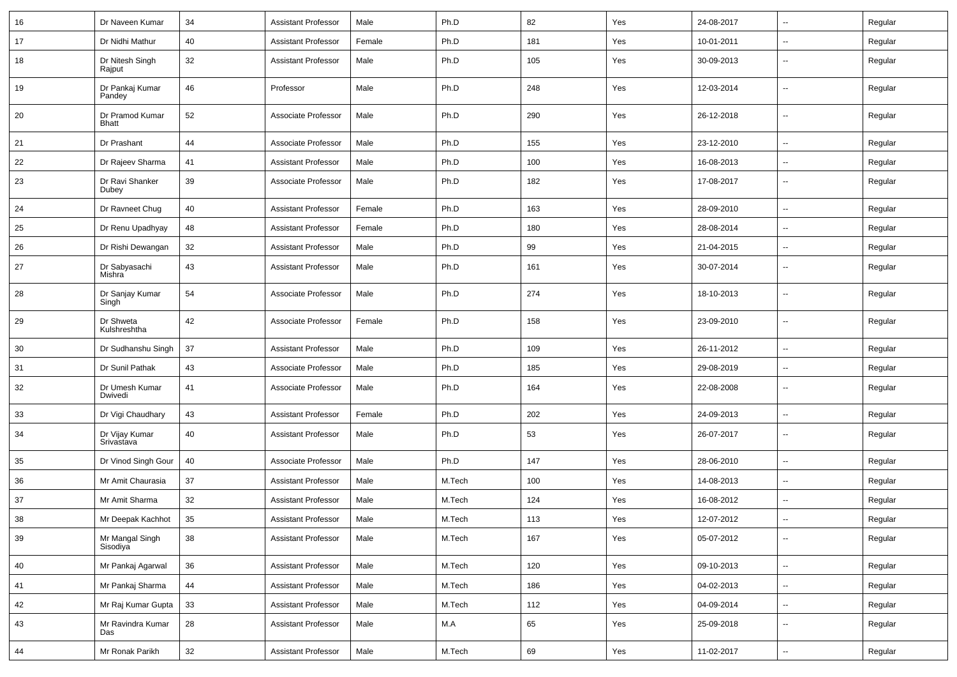| 16 | Dr Naveen Kumar                 | 34         | <b>Assistant Professor</b> | Male   | Ph.D   | 82  | Yes | 24-08-2017 | $\overline{\phantom{a}}$ | Regular |
|----|---------------------------------|------------|----------------------------|--------|--------|-----|-----|------------|--------------------------|---------|
| 17 | Dr Nidhi Mathur                 | 40         | <b>Assistant Professor</b> | Female | Ph.D   | 181 | Yes | 10-01-2011 | $\overline{\phantom{a}}$ | Regular |
| 18 | Dr Nitesh Singh<br>Rajput       | 32         | <b>Assistant Professor</b> | Male   | Ph.D   | 105 | Yes | 30-09-2013 | --                       | Regular |
| 19 | Dr Pankaj Kumar<br>Pandey       | 46         | Professor                  | Male   | Ph.D   | 248 | Yes | 12-03-2014 | $\overline{\phantom{a}}$ | Regular |
| 20 | Dr Pramod Kumar<br><b>Bhatt</b> | 52         | Associate Professor        | Male   | Ph.D   | 290 | Yes | 26-12-2018 | $\overline{\phantom{a}}$ | Regular |
| 21 | Dr Prashant                     | 44         | Associate Professor        | Male   | Ph.D   | 155 | Yes | 23-12-2010 | $\overline{\phantom{a}}$ | Regular |
| 22 | Dr Rajeev Sharma                | 41         | <b>Assistant Professor</b> | Male   | Ph.D   | 100 | Yes | 16-08-2013 | $\overline{\phantom{a}}$ | Regular |
| 23 | Dr Ravi Shanker<br>Dubey        | 39         | Associate Professor        | Male   | Ph.D   | 182 | Yes | 17-08-2017 | $\overline{\phantom{a}}$ | Regular |
| 24 | Dr Ravneet Chug                 | 40         | <b>Assistant Professor</b> | Female | Ph.D   | 163 | Yes | 28-09-2010 | Ξ.                       | Regular |
| 25 | Dr Renu Upadhyay                | 48         | <b>Assistant Professor</b> | Female | Ph.D   | 180 | Yes | 28-08-2014 | $\overline{\phantom{a}}$ | Regular |
| 26 | Dr Rishi Dewangan               | 32         | <b>Assistant Professor</b> | Male   | Ph.D   | 99  | Yes | 21-04-2015 | $\overline{\phantom{a}}$ | Regular |
| 27 | Dr Sabyasachi<br>Mishra         | 43         | <b>Assistant Professor</b> | Male   | Ph.D   | 161 | Yes | 30-07-2014 | $\overline{\phantom{a}}$ | Regular |
| 28 | Dr Sanjay Kumar<br>Singh        | 54         | Associate Professor        | Male   | Ph.D   | 274 | Yes | 18-10-2013 | $\overline{\phantom{a}}$ | Regular |
| 29 | Dr Shweta<br>Kulshreshtha       | 42         | Associate Professor        | Female | Ph.D   | 158 | Yes | 23-09-2010 | $\overline{\phantom{a}}$ | Regular |
| 30 | Dr Sudhanshu Singh              | 37         | <b>Assistant Professor</b> | Male   | Ph.D   | 109 | Yes | 26-11-2012 | $\overline{\phantom{a}}$ | Regular |
| 31 | Dr Sunil Pathak                 | 43         | Associate Professor        | Male   | Ph.D   | 185 | Yes | 29-08-2019 | $\overline{\phantom{a}}$ | Regular |
| 32 | Dr Umesh Kumar<br>Dwivedi       | 41         | Associate Professor        | Male   | Ph.D   | 164 | Yes | 22-08-2008 | $\overline{\phantom{a}}$ | Regular |
| 33 | Dr Vigi Chaudhary               | 43         | <b>Assistant Professor</b> | Female | Ph.D   | 202 | Yes | 24-09-2013 | --                       | Regular |
| 34 | Dr Vijay Kumar<br>Srivastava    | 40         | <b>Assistant Professor</b> | Male   | Ph.D   | 53  | Yes | 26-07-2017 | $\overline{\phantom{a}}$ | Regular |
| 35 | Dr Vinod Singh Gour             | 40         | Associate Professor        | Male   | Ph.D   | 147 | Yes | 28-06-2010 | $\overline{\phantom{a}}$ | Regular |
| 36 | Mr Amit Chaurasia               | 37         | <b>Assistant Professor</b> | Male   | M.Tech | 100 | Yes | 14-08-2013 | $\mathbf{u}$             | Regular |
| 37 | Mr Amit Sharma                  | 32         | <b>Assistant Professor</b> | Male   | M.Tech | 124 | Yes | 16-08-2012 | --                       | Regular |
| 38 | Mr Deepak Kachhot               | 35         | <b>Assistant Professor</b> | Male   | M.Tech | 113 | Yes | 12-07-2012 | $\overline{\phantom{a}}$ | Regular |
| 39 | Mr Mangal Singh<br>Sisodiya     | 38         | <b>Assistant Professor</b> | Male   | M.Tech | 167 | Yes | 05-07-2012 | Щ,                       | Regular |
| 40 | Mr Pankaj Agarwal               | 36         | <b>Assistant Professor</b> | Male   | M.Tech | 120 | Yes | 09-10-2013 | ц.                       | Regular |
| 41 | Mr Pankaj Sharma                | ${\bf 44}$ | <b>Assistant Professor</b> | Male   | M.Tech | 186 | Yes | 04-02-2013 | --                       | Regular |
| 42 | Mr Raj Kumar Gupta              | 33         | <b>Assistant Professor</b> | Male   | M.Tech | 112 | Yes | 04-09-2014 | Щ,                       | Regular |
| 43 | Mr Ravindra Kumar<br>Das        | 28         | <b>Assistant Professor</b> | Male   | M.A    | 65  | Yes | 25-09-2018 | $\sim$                   | Regular |
| 44 | Mr Ronak Parikh                 | 32         | <b>Assistant Professor</b> | Male   | M.Tech | 69  | Yes | 11-02-2017 | $\overline{\phantom{a}}$ | Regular |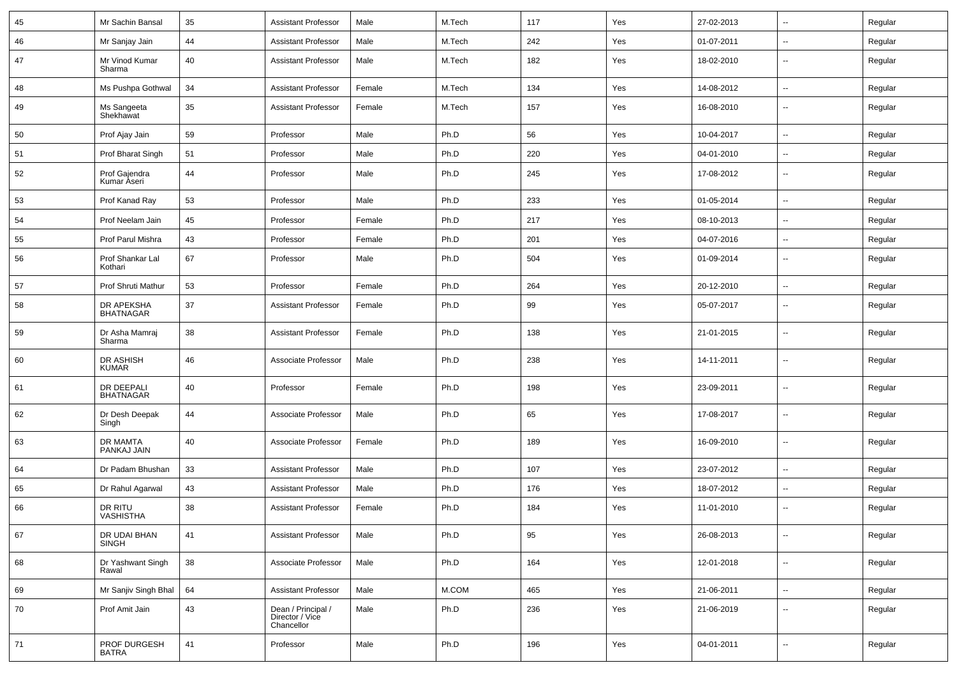| 45 | Mr Sachin Bansal               | 35 | <b>Assistant Professor</b>                          | Male   | M.Tech | 117 | Yes | 27-02-2013 | $\overline{\phantom{a}}$ | Regular |
|----|--------------------------------|----|-----------------------------------------------------|--------|--------|-----|-----|------------|--------------------------|---------|
| 46 | Mr Sanjay Jain                 | 44 | <b>Assistant Professor</b>                          | Male   | M.Tech | 242 | Yes | 01-07-2011 | --                       | Regular |
| 47 | Mr Vinod Kumar<br>Sharma       | 40 | <b>Assistant Professor</b>                          | Male   | M.Tech | 182 | Yes | 18-02-2010 | $\overline{\phantom{a}}$ | Regular |
| 48 | Ms Pushpa Gothwal              | 34 | <b>Assistant Professor</b>                          | Female | M.Tech | 134 | Yes | 14-08-2012 | -−                       | Regular |
| 49 | Ms Sangeeta<br>Shekhawat       | 35 | <b>Assistant Professor</b>                          | Female | M.Tech | 157 | Yes | 16-08-2010 | --                       | Regular |
| 50 | Prof Ajay Jain                 | 59 | Professor                                           | Male   | Ph.D   | 56  | Yes | 10-04-2017 | --                       | Regular |
| 51 | Prof Bharat Singh              | 51 | Professor                                           | Male   | Ph.D   | 220 | Yes | 04-01-2010 | --                       | Regular |
| 52 | Prof Gajendra<br>Kumar Aseri   | 44 | Professor                                           | Male   | Ph.D   | 245 | Yes | 17-08-2012 | $\overline{\phantom{a}}$ | Regular |
| 53 | Prof Kanad Ray                 | 53 | Professor                                           | Male   | Ph.D   | 233 | Yes | 01-05-2014 | $\overline{\phantom{a}}$ | Regular |
| 54 | Prof Neelam Jain               | 45 | Professor                                           | Female | Ph.D   | 217 | Yes | 08-10-2013 | $\overline{\phantom{a}}$ | Regular |
| 55 | Prof Parul Mishra              | 43 | Professor                                           | Female | Ph.D   | 201 | Yes | 04-07-2016 | --                       | Regular |
| 56 | Prof Shankar Lal<br>Kothari    | 67 | Professor                                           | Male   | Ph.D   | 504 | Yes | 01-09-2014 | --                       | Regular |
| 57 | Prof Shruti Mathur             | 53 | Professor                                           | Female | Ph.D   | 264 | Yes | 20-12-2010 | --                       | Regular |
| 58 | DR APEKSHA<br><b>BHATNAGAR</b> | 37 | <b>Assistant Professor</b>                          | Female | Ph.D   | 99  | Yes | 05-07-2017 | --                       | Regular |
| 59 | Dr Asha Mamraj<br>Sharma       | 38 | <b>Assistant Professor</b>                          | Female | Ph.D   | 138 | Yes | 21-01-2015 | $\overline{\phantom{a}}$ | Regular |
| 60 | DR ASHISH<br><b>KUMAR</b>      | 46 | Associate Professor                                 | Male   | Ph.D   | 238 | Yes | 14-11-2011 | $\overline{\phantom{a}}$ | Regular |
| 61 | DR DEEPALI<br><b>BHATNAGAR</b> | 40 | Professor                                           | Female | Ph.D   | 198 | Yes | 23-09-2011 | --                       | Regular |
| 62 | Dr Desh Deepak<br>Singh        | 44 | Associate Professor                                 | Male   | Ph.D   | 65  | Yes | 17-08-2017 | $\overline{\phantom{a}}$ | Regular |
| 63 | DR MAMTA<br>PANKAJ JAIN        | 40 | Associate Professor                                 | Female | Ph.D   | 189 | Yes | 16-09-2010 | -−                       | Regular |
| 64 | Dr Padam Bhushan               | 33 | <b>Assistant Professor</b>                          | Male   | Ph.D   | 107 | Yes | 23-07-2012 | --                       | Regular |
| 65 | Dr Rahul Agarwal               | 43 | <b>Assistant Professor</b>                          | Male   | Ph.D   | 176 | Yes | 18-07-2012 | --                       | Regular |
| 66 | DR RITU<br><b>VASHISTHA</b>    | 38 | <b>Assistant Professor</b>                          | Female | Ph.D   | 184 | Yes | 11-01-2010 | -−                       | Regular |
| 67 | DR UDAI BHAN<br><b>SINGH</b>   | 41 | <b>Assistant Professor</b>                          | Male   | Ph.D   | 95  | Yes | 26-08-2013 | $\sim$                   | Regular |
| 68 | Dr Yashwant Singh<br>Rawal     | 38 | Associate Professor                                 | Male   | Ph.D   | 164 | Yes | 12-01-2018 | $\sim$                   | Regular |
| 69 | Mr Sanjiv Singh Bhal           | 64 | <b>Assistant Professor</b>                          | Male   | M.COM  | 465 | Yes | 21-06-2011 | $\sim$                   | Regular |
| 70 | Prof Amit Jain                 | 43 | Dean / Principal /<br>Director / Vice<br>Chancellor | Male   | Ph.D   | 236 | Yes | 21-06-2019 | $\overline{\phantom{a}}$ | Regular |
| 71 | PROF DURGESH<br><b>BATRA</b>   | 41 | Professor                                           | Male   | Ph.D   | 196 | Yes | 04-01-2011 | $\sim$                   | Regular |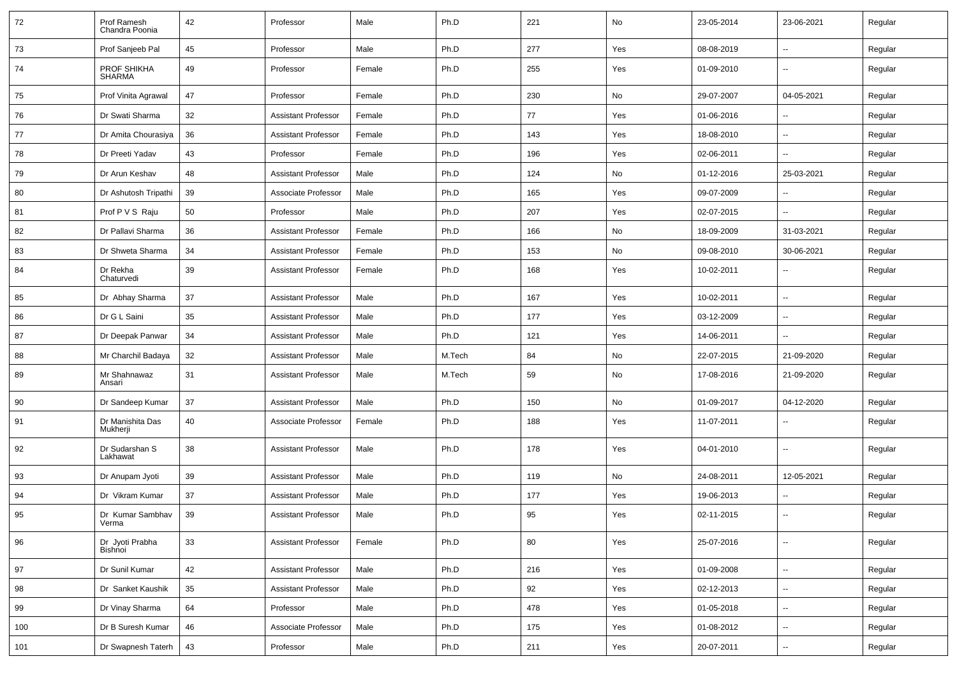| 72  | Prof Ramesh<br>Chandra Poonia | 42 | Professor                  | Male   | Ph.D   | 221 | No  | 23-05-2014 | 23-06-2021               | Regular |
|-----|-------------------------------|----|----------------------------|--------|--------|-----|-----|------------|--------------------------|---------|
| 73  | Prof Sanjeeb Pal              | 45 | Professor                  | Male   | Ph.D   | 277 | Yes | 08-08-2019 | $\sim$                   | Regular |
| 74  | PROF SHIKHA<br><b>SHARMA</b>  | 49 | Professor                  | Female | Ph.D   | 255 | Yes | 01-09-2010 | $\overline{\phantom{a}}$ | Regular |
| 75  | Prof Vinita Agrawal           | 47 | Professor                  | Female | Ph.D   | 230 | No  | 29-07-2007 | 04-05-2021               | Regular |
| 76  | Dr Swati Sharma               | 32 | <b>Assistant Professor</b> | Female | Ph.D   | 77  | Yes | 01-06-2016 | --                       | Regular |
| 77  | Dr Amita Chourasiya           | 36 | <b>Assistant Professor</b> | Female | Ph.D   | 143 | Yes | 18-08-2010 | $\overline{\phantom{a}}$ | Regular |
| 78  | Dr Preeti Yadav               | 43 | Professor                  | Female | Ph.D   | 196 | Yes | 02-06-2011 |                          | Regular |
| 79  | Dr Arun Keshav                | 48 | <b>Assistant Professor</b> | Male   | Ph.D   | 124 | No  | 01-12-2016 | 25-03-2021               | Regular |
| 80  | Dr Ashutosh Tripathi          | 39 | Associate Professor        | Male   | Ph.D   | 165 | Yes | 09-07-2009 | $\sim$                   | Regular |
| 81  | Prof P V S Raju               | 50 | Professor                  | Male   | Ph.D   | 207 | Yes | 02-07-2015 | $\sim$                   | Regular |
| 82  | Dr Pallavi Sharma             | 36 | <b>Assistant Professor</b> | Female | Ph.D   | 166 | No  | 18-09-2009 | 31-03-2021               | Regular |
| 83  | Dr Shweta Sharma              | 34 | <b>Assistant Professor</b> | Female | Ph.D   | 153 | No  | 09-08-2010 | 30-06-2021               | Regular |
| 84  | Dr Rekha<br>Chaturvedi        | 39 | <b>Assistant Professor</b> | Female | Ph.D   | 168 | Yes | 10-02-2011 | --                       | Regular |
| 85  | Dr Abhay Sharma               | 37 | <b>Assistant Professor</b> | Male   | Ph.D   | 167 | Yes | 10-02-2011 | $\mathbf{u}$             | Regular |
| 86  | Dr G L Saini                  | 35 | <b>Assistant Professor</b> | Male   | Ph.D   | 177 | Yes | 03-12-2009 | $\sim$                   | Regular |
| 87  | Dr Deepak Panwar              | 34 | <b>Assistant Professor</b> | Male   | Ph.D   | 121 | Yes | 14-06-2011 | $\sim$                   | Regular |
| 88  | Mr Charchil Badaya            | 32 | <b>Assistant Professor</b> | Male   | M.Tech | 84  | No  | 22-07-2015 | 21-09-2020               | Regular |
| 89  | Mr Shahnawaz<br>Ansari        | 31 | <b>Assistant Professor</b> | Male   | M.Tech | 59  | No  | 17-08-2016 | 21-09-2020               | Regular |
| 90  | Dr Sandeep Kumar              | 37 | <b>Assistant Professor</b> | Male   | Ph.D   | 150 | No  | 01-09-2017 | 04-12-2020               | Regular |
| 91  | Dr Manishita Das<br>Mukherji  | 40 | Associate Professor        | Female | Ph.D   | 188 | Yes | 11-07-2011 | ۰.                       | Regular |
| 92  | Dr Sudarshan S<br>Lakhawat    | 38 | <b>Assistant Professor</b> | Male   | Ph.D   | 178 | Yes | 04-01-2010 | --                       | Regular |
| 93  | Dr Anupam Jyoti               | 39 | <b>Assistant Professor</b> | Male   | Ph.D   | 119 | No  | 24-08-2011 | 12-05-2021               | Regular |
| 94  | Dr Vikram Kumar               | 37 | <b>Assistant Professor</b> | Male   | Ph.D   | 177 | Yes | 19-06-2013 | --                       | Regular |
| 95  | Dr Kumar Sambhav<br>venna     | 39 | <b>Assistant Professor</b> | Male   | Ph.D   | 95  | Yes | 02-11-2015 | $\mathbf{u}$             | Regular |
| 96  | Dr Jyoti Prabha<br>Bishnoi    | 33 | <b>Assistant Professor</b> | Female | Ph.D   | 80  | Yes | 25-07-2016 | $\sim$                   | Regular |
| 97  | Dr Sunil Kumar                | 42 | <b>Assistant Professor</b> | Male   | Ph.D   | 216 | Yes | 01-09-2008 | $\overline{\phantom{a}}$ | Regular |
| 98  | Dr Sanket Kaushik             | 35 | <b>Assistant Professor</b> | Male   | Ph.D   | 92  | Yes | 02-12-2013 | $\sim$                   | Regular |
| 99  | Dr Vinay Sharma               | 64 | Professor                  | Male   | Ph.D   | 478 | Yes | 01-05-2018 | $\sim$                   | Regular |
| 100 | Dr B Suresh Kumar             | 46 | Associate Professor        | Male   | Ph.D   | 175 | Yes | 01-08-2012 | $\sim$                   | Regular |
| 101 | Dr Swapnesh Taterh            | 43 | Professor                  | Male   | Ph.D   | 211 | Yes | 20-07-2011 | $\sim$                   | Regular |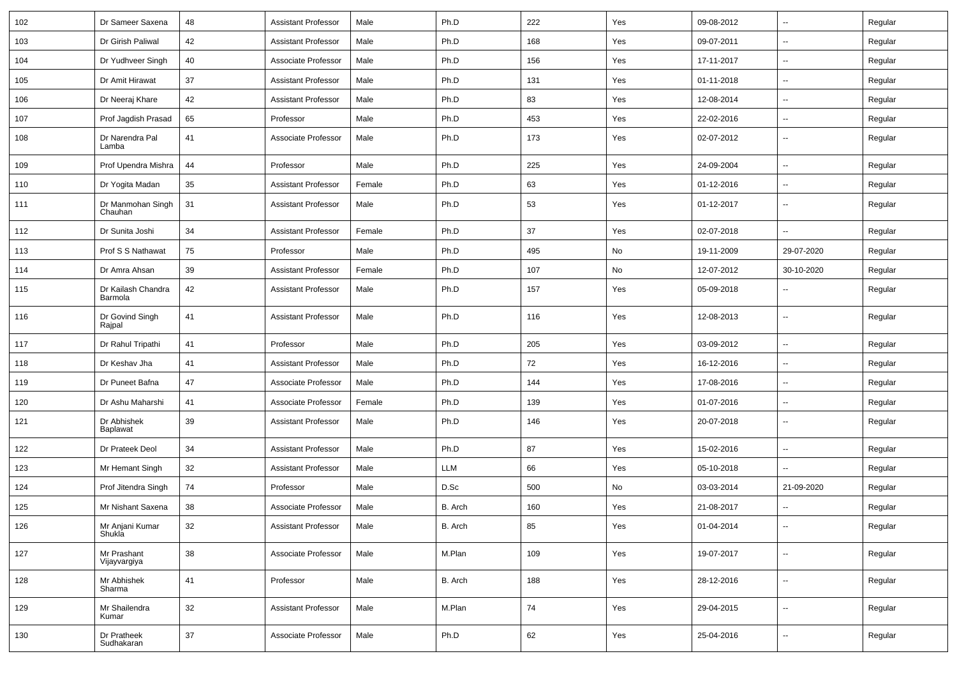| 102 | Dr Sameer Saxena              | 48 | <b>Assistant Professor</b> | Male   | Ph.D       | 222 | Yes | 09-08-2012 | $\mathbf{u}$             | Regular |
|-----|-------------------------------|----|----------------------------|--------|------------|-----|-----|------------|--------------------------|---------|
| 103 | Dr Girish Paliwal             | 42 | <b>Assistant Professor</b> | Male   | Ph.D       | 168 | Yes | 09-07-2011 | $\sim$                   | Regular |
| 104 | Dr Yudhveer Singh             | 40 | Associate Professor        | Male   | Ph.D       | 156 | Yes | 17-11-2017 | $\mathbf{u}$             | Regular |
| 105 | Dr Amit Hirawat               | 37 | <b>Assistant Professor</b> | Male   | Ph.D       | 131 | Yes | 01-11-2018 | $\overline{\phantom{a}}$ | Regular |
| 106 | Dr Neeraj Khare               | 42 | <b>Assistant Professor</b> | Male   | Ph.D       | 83  | Yes | 12-08-2014 | $\mathbf{u}$             | Regular |
| 107 | Prof Jagdish Prasad           | 65 | Professor                  | Male   | Ph.D       | 453 | Yes | 22-02-2016 | $\sim$                   | Regular |
| 108 | Dr Narendra Pal<br>Lamba      | 41 | Associate Professor        | Male   | Ph.D       | 173 | Yes | 02-07-2012 | $\mathbf{u}$             | Regular |
| 109 | Prof Upendra Mishra           | 44 | Professor                  | Male   | Ph.D       | 225 | Yes | 24-09-2004 | $\sim$                   | Regular |
| 110 | Dr Yogita Madan               | 35 | Assistant Professor        | Female | Ph.D       | 63  | Yes | 01-12-2016 | $\sim$                   | Regular |
| 111 | Dr Manmohan Singh<br>Chauhan  | 31 | <b>Assistant Professor</b> | Male   | Ph.D       | 53  | Yes | 01-12-2017 | $\mathbf{u}$             | Regular |
| 112 | Dr Sunita Joshi               | 34 | <b>Assistant Professor</b> | Female | Ph.D       | 37  | Yes | 02-07-2018 | $\mathbf{u}$             | Regular |
| 113 | Prof S S Nathawat             | 75 | Professor                  | Male   | Ph.D       | 495 | No  | 19-11-2009 | 29-07-2020               | Regular |
| 114 | Dr Amra Ahsan                 | 39 | <b>Assistant Professor</b> | Female | Ph.D       | 107 | No  | 12-07-2012 | 30-10-2020               | Regular |
| 115 | Dr Kailash Chandra<br>Barmola | 42 | <b>Assistant Professor</b> | Male   | Ph.D       | 157 | Yes | 05-09-2018 | $\sim$                   | Regular |
| 116 | Dr Govind Singh<br>Rajpal     | 41 | <b>Assistant Professor</b> | Male   | Ph.D       | 116 | Yes | 12-08-2013 | $\sim$                   | Regular |
| 117 | Dr Rahul Tripathi             | 41 | Professor                  | Male   | Ph.D       | 205 | Yes | 03-09-2012 | $\mathbf{u}$             | Regular |
| 118 | Dr Keshav Jha                 | 41 | <b>Assistant Professor</b> | Male   | Ph.D       | 72  | Yes | 16-12-2016 | $\sim$                   | Regular |
| 119 | Dr Puneet Bafna               | 47 | Associate Professor        | Male   | Ph.D       | 144 | Yes | 17-08-2016 | $\sim$                   | Regular |
| 120 | Dr Ashu Maharshi              | 41 | Associate Professor        | Female | Ph.D       | 139 | Yes | 01-07-2016 | --                       | Regular |
| 121 | Dr Abhishek<br>Baplawat       | 39 | Assistant Professor        | Male   | Ph.D       | 146 | Yes | 20-07-2018 | $\overline{\phantom{a}}$ | Regular |
| 122 | Dr Prateek Deol               | 34 | <b>Assistant Professor</b> | Male   | Ph.D       | 87  | Yes | 15-02-2016 | $\mathbf{u}$             | Regular |
| 123 | Mr Hemant Singh               | 32 | <b>Assistant Professor</b> | Male   | <b>LLM</b> | 66  | Yes | 05-10-2018 |                          | Regular |
| 124 | Prof Jitendra Singh           | 74 | Professor                  | Male   | D.Sc       | 500 | No  | 03-03-2014 | 21-09-2020               | Regular |
| 125 | Mr Nishant Saxena             | 38 | Associate Professor        | Male   | B. Arch    | 160 | Yes | 21-08-2017 | $\sim$                   | Regular |
| 126 | Mr Anjani Kumar<br>Shukla     | 32 | <b>Assistant Professor</b> | Male   | B. Arch    | 85  | Yes | 01-04-2014 | $\sim$                   | Regular |
| 127 | Mr Prashant<br>Vijayvargiya   | 38 | Associate Professor        | Male   | M.Plan     | 109 | Yes | 19-07-2017 | $\sim$                   | Regular |
| 128 | Mr Abhishek<br>Sharma         | 41 | Professor                  | Male   | B. Arch    | 188 | Yes | 28-12-2016 | $\sim$                   | Regular |
| 129 | Mr Shailendra<br>Kumar        | 32 | <b>Assistant Professor</b> | Male   | M.Plan     | 74  | Yes | 29-04-2015 | $\sim$                   | Regular |
| 130 | Dr Pratheek<br>Sudhakaran     | 37 | Associate Professor        | Male   | Ph.D       | 62  | Yes | 25-04-2016 | $\mathbf{u}$             | Regular |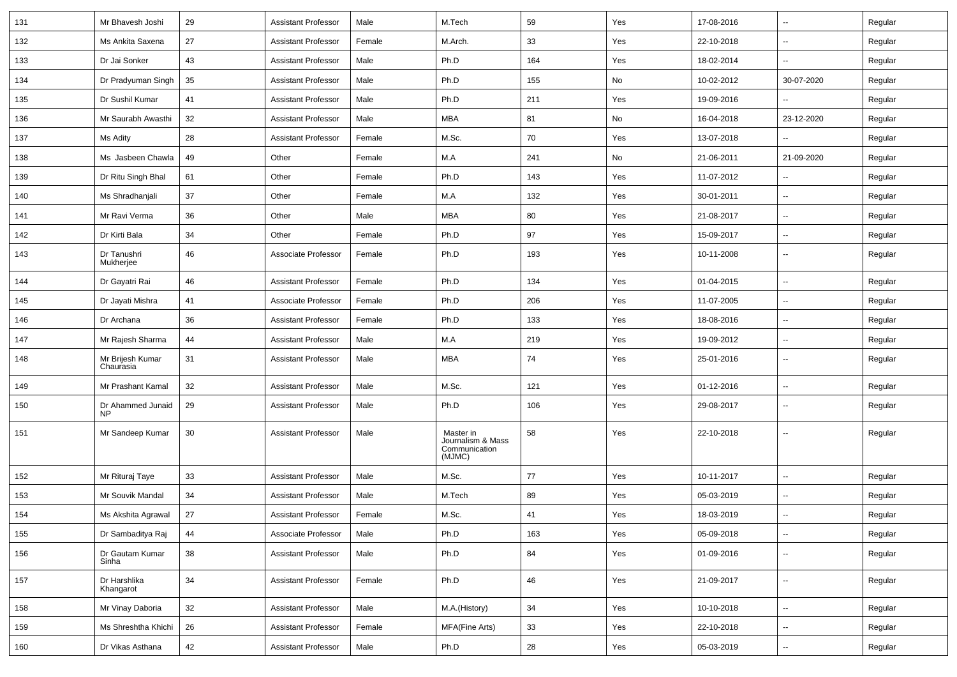| 131 | Mr Bhavesh Joshi              | 29     | <b>Assistant Professor</b> | Male   | M.Tech                                                    | 59  | Yes | 17-08-2016 | $\mathbf{u}$             | Regular |
|-----|-------------------------------|--------|----------------------------|--------|-----------------------------------------------------------|-----|-----|------------|--------------------------|---------|
| 132 | Ms Ankita Saxena              | 27     | <b>Assistant Professor</b> | Female | M.Arch.                                                   | 33  | Yes | 22-10-2018 | $\sim$                   | Regular |
| 133 | Dr Jai Sonker                 | 43     | <b>Assistant Professor</b> | Male   | Ph.D                                                      | 164 | Yes | 18-02-2014 | $\mathbf{u}$             | Regular |
| 134 | Dr Pradyuman Singh            | 35     | <b>Assistant Professor</b> | Male   | Ph.D                                                      | 155 | No  | 10-02-2012 | 30-07-2020               | Regular |
| 135 | Dr Sushil Kumar               | 41     | <b>Assistant Professor</b> | Male   | Ph.D                                                      | 211 | Yes | 19-09-2016 |                          | Regular |
| 136 | Mr Saurabh Awasthi            | 32     | <b>Assistant Professor</b> | Male   | MBA                                                       | 81  | No  | 16-04-2018 | 23-12-2020               | Regular |
| 137 | Ms Adity                      | 28     | Assistant Professor        | Female | M.Sc.                                                     | 70  | Yes | 13-07-2018 | $\mathbf{u}$             | Regular |
| 138 | Ms Jasbeen Chawla             | 49     | Other                      | Female | M.A                                                       | 241 | No  | 21-06-2011 | 21-09-2020               | Regular |
| 139 | Dr Ritu Singh Bhal            | 61     | Other                      | Female | Ph.D                                                      | 143 | Yes | 11-07-2012 | $\sim$                   | Regular |
| 140 | Ms Shradhanjali               | 37     | Other                      | Female | M.A                                                       | 132 | Yes | 30-01-2011 |                          | Regular |
| 141 | Mr Ravi Verma                 | 36     | Other                      | Male   | <b>MBA</b>                                                | 80  | Yes | 21-08-2017 | $\mathbf{u}$             | Regular |
| 142 | Dr Kirti Bala                 | 34     | Other                      | Female | Ph.D                                                      | 97  | Yes | 15-09-2017 | $\mathbf{u}$             | Regular |
| 143 | Dr Tanushri<br>Mukherjee      | 46     | Associate Professor        | Female | Ph.D                                                      | 193 | Yes | 10-11-2008 | $\mathbf{u}$             | Regular |
| 144 | Dr Gayatri Rai                | 46     | <b>Assistant Professor</b> | Female | Ph.D                                                      | 134 | Yes | 01-04-2015 | $\sim$                   | Regular |
| 145 | Dr Jayati Mishra              | 41     | Associate Professor        | Female | Ph.D                                                      | 206 | Yes | 11-07-2005 | $\sim$                   | Regular |
| 146 | Dr Archana                    | 36     | <b>Assistant Professor</b> | Female | Ph.D                                                      | 133 | Yes | 18-08-2016 | $\sim$                   | Regular |
| 147 | Mr Rajesh Sharma              | 44     | <b>Assistant Professor</b> | Male   | M.A                                                       | 219 | Yes | 19-09-2012 | $\overline{\phantom{a}}$ | Regular |
| 148 | Mr Brijesh Kumar<br>Chaurasia | 31     | <b>Assistant Professor</b> | Male   | MBA                                                       | 74  | Yes | 25-01-2016 | $\overline{\phantom{a}}$ | Regular |
| 149 | Mr Prashant Kamal             | 32     | <b>Assistant Professor</b> | Male   | M.Sc.                                                     | 121 | Yes | 01-12-2016 | $\mathbf{u}$             | Regular |
| 150 | Dr Ahammed Junaid<br>NP       | 29     | <b>Assistant Professor</b> | Male   | Ph.D                                                      | 106 | Yes | 29-08-2017 | $\overline{\phantom{a}}$ | Regular |
| 151 | Mr Sandeep Kumar              | 30     | <b>Assistant Professor</b> | Male   | Master in<br>Journalism & Mass<br>Communication<br>(MJMC) | 58  | Yes | 22-10-2018 |                          | Regular |
| 152 | Mr Rituraj Taye               | 33     | <b>Assistant Professor</b> | Male   | M.Sc.                                                     | 77  | Yes | 10-11-2017 | $\mathbf{u}$             | Regular |
| 153 | Mr Souvik Mandal              | 34     | <b>Assistant Professor</b> | Male   | M.Tech                                                    | 89  | Yes | 05-03-2019 | $\overline{\phantom{a}}$ | Regular |
| 154 | Ms Akshita Agrawal            | 27     | <b>Assistant Professor</b> | Female | M.Sc.                                                     | 41  | Yes | 18-03-2019 | $\overline{\phantom{a}}$ | Regular |
| 155 | Dr Sambaditya Raj             | 44     | Associate Professor        | Male   | Ph.D                                                      | 163 | Yes | 05-09-2018 | $\sim$                   | Regular |
| 156 | Dr Gautam Kumar<br>Sinha      | $38\,$ | <b>Assistant Professor</b> | Male   | Ph.D                                                      | 84  | Yes | 01-09-2016 | $\sim$                   | Regular |
| 157 | Dr Harshlika<br>Khangarot     | 34     | <b>Assistant Professor</b> | Female | Ph.D                                                      | 46  | Yes | 21-09-2017 | $\sim$                   | Regular |
| 158 | Mr Vinay Daboria              | 32     | <b>Assistant Professor</b> | Male   | M.A.(History)                                             | 34  | Yes | 10-10-2018 | $\sim$                   | Regular |
| 159 | Ms Shreshtha Khichi           | 26     | <b>Assistant Professor</b> | Female | MFA(Fine Arts)                                            | 33  | Yes | 22-10-2018 | --                       | Regular |
| 160 | Dr Vikas Asthana              | 42     | <b>Assistant Professor</b> | Male   | Ph.D                                                      | 28  | Yes | 05-03-2019 | $\overline{\phantom{a}}$ | Regular |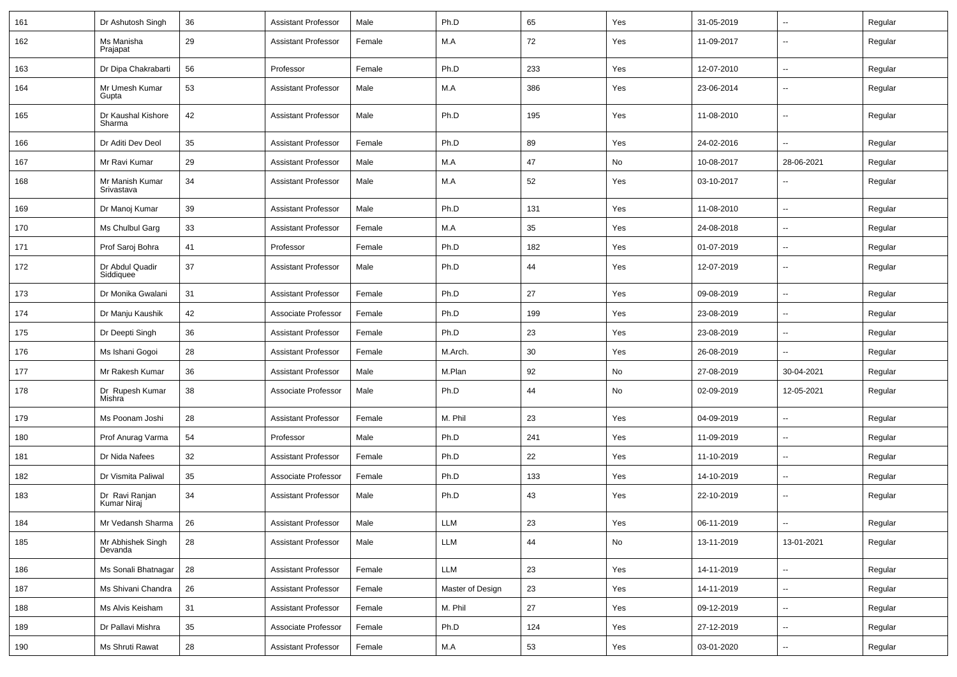| 161 | Dr Ashutosh Singh             | 36 | <b>Assistant Professor</b> | Male   | Ph.D             | 65  | Yes | 31-05-2019 | $\overline{\phantom{a}}$ | Regular |
|-----|-------------------------------|----|----------------------------|--------|------------------|-----|-----|------------|--------------------------|---------|
| 162 | Ms Manisha<br>Prajapat        | 29 | <b>Assistant Professor</b> | Female | M.A              | 72  | Yes | 11-09-2017 | --                       | Regular |
| 163 | Dr Dipa Chakrabarti           | 56 | Professor                  | Female | Ph.D             | 233 | Yes | 12-07-2010 | $\overline{\phantom{a}}$ | Regular |
| 164 | Mr Umesh Kumar<br>Gupta       | 53 | <b>Assistant Professor</b> | Male   | M.A              | 386 | Yes | 23-06-2014 | $\overline{\phantom{a}}$ | Regular |
| 165 | Dr Kaushal Kishore<br>Sharma  | 42 | Assistant Professor        | Male   | Ph.D             | 195 | Yes | 11-08-2010 | $\overline{\phantom{a}}$ | Regular |
| 166 | Dr Aditi Dev Deol             | 35 | Assistant Professor        | Female | Ph.D             | 89  | Yes | 24-02-2016 | ۵.                       | Regular |
| 167 | Mr Ravi Kumar                 | 29 | <b>Assistant Professor</b> | Male   | M.A              | 47  | No  | 10-08-2017 | 28-06-2021               | Regular |
| 168 | Mr Manish Kumar<br>Srivastava | 34 | <b>Assistant Professor</b> | Male   | M.A              | 52  | Yes | 03-10-2017 |                          | Regular |
| 169 | Dr Manoj Kumar                | 39 | <b>Assistant Professor</b> | Male   | Ph.D             | 131 | Yes | 11-08-2010 | --                       | Regular |
| 170 | Ms Chulbul Garg               | 33 | <b>Assistant Professor</b> | Female | M.A              | 35  | Yes | 24-08-2018 | $\overline{\phantom{a}}$ | Regular |
| 171 | Prof Saroj Bohra              | 41 | Professor                  | Female | Ph.D             | 182 | Yes | 01-07-2019 | $\overline{\phantom{a}}$ | Regular |
| 172 | Dr Abdul Quadir<br>Siddiquee  | 37 | <b>Assistant Professor</b> | Male   | Ph.D             | 44  | Yes | 12-07-2019 | $\overline{\phantom{a}}$ | Regular |
| 173 | Dr Monika Gwalani             | 31 | <b>Assistant Professor</b> | Female | Ph.D             | 27  | Yes | 09-08-2019 | $\overline{\phantom{a}}$ | Regular |
| 174 | Dr Manju Kaushik              | 42 | Associate Professor        | Female | Ph.D             | 199 | Yes | 23-08-2019 | $\overline{\phantom{a}}$ | Regular |
| 175 | Dr Deepti Singh               | 36 | <b>Assistant Professor</b> | Female | Ph.D             | 23  | Yes | 23-08-2019 | --                       | Regular |
| 176 | Ms Ishani Gogoi               | 28 | <b>Assistant Professor</b> | Female | M.Arch.          | 30  | Yes | 26-08-2019 | --                       | Regular |
| 177 | Mr Rakesh Kumar               | 36 | <b>Assistant Professor</b> | Male   | M.Plan           | 92  | No  | 27-08-2019 | 30-04-2021               | Regular |
| 178 | Dr Rupesh Kumar<br>Mishra     | 38 | Associate Professor        | Male   | Ph.D             | 44  | No  | 02-09-2019 | 12-05-2021               | Regular |
| 179 | Ms Poonam Joshi               | 28 | <b>Assistant Professor</b> | Female | M. Phil          | 23  | Yes | 04-09-2019 | $\overline{\phantom{a}}$ | Regular |
| 180 | Prof Anurag Varma             | 54 | Professor                  | Male   | Ph.D             | 241 | Yes | 11-09-2019 | $\overline{\phantom{a}}$ | Regular |
| 181 | Dr Nida Nafees                | 32 | Assistant Professor        | Female | Ph.D             | 22  | Yes | 11-10-2019 | $\overline{\phantom{a}}$ | Regular |
| 182 | Dr Vismita Paliwal            | 35 | Associate Professor        | Female | Ph.D             | 133 | Yes | 14-10-2019 | $\overline{\phantom{a}}$ | Regular |
| 183 | Dr Ravi Ranjan<br>Kumar Niraj | 34 | <b>Assistant Professor</b> | Male   | Ph.D             | 43  | Yes | 22-10-2019 |                          | Regular |
| 184 | Mr Vedansh Sharma   26        |    | Assistant Professor        | Male   | LLM              | 23  | Yes | 06-11-2019 |                          | Regular |
| 185 | Mr Abhishek Singh<br>Devanda  | 28 | <b>Assistant Professor</b> | Male   | LLM              | 44  | No  | 13-11-2019 | 13-01-2021               | Regular |
| 186 | Ms Sonali Bhatnagar           | 28 | <b>Assistant Professor</b> | Female | LLM              | 23  | Yes | 14-11-2019 | $\sim$                   | Regular |
| 187 | Ms Shivani Chandra            | 26 | <b>Assistant Professor</b> | Female | Master of Design | 23  | Yes | 14-11-2019 | $\sim$                   | Regular |
| 188 | Ms Alvis Keisham              | 31 | <b>Assistant Professor</b> | Female | M. Phil          | 27  | Yes | 09-12-2019 | $\sim$                   | Regular |
| 189 | Dr Pallavi Mishra             | 35 | Associate Professor        | Female | Ph.D             | 124 | Yes | 27-12-2019 | $\overline{\phantom{a}}$ | Regular |
| 190 | Ms Shruti Rawat               | 28 | <b>Assistant Professor</b> | Female | M.A              | 53  | Yes | 03-01-2020 | ₩,                       | Regular |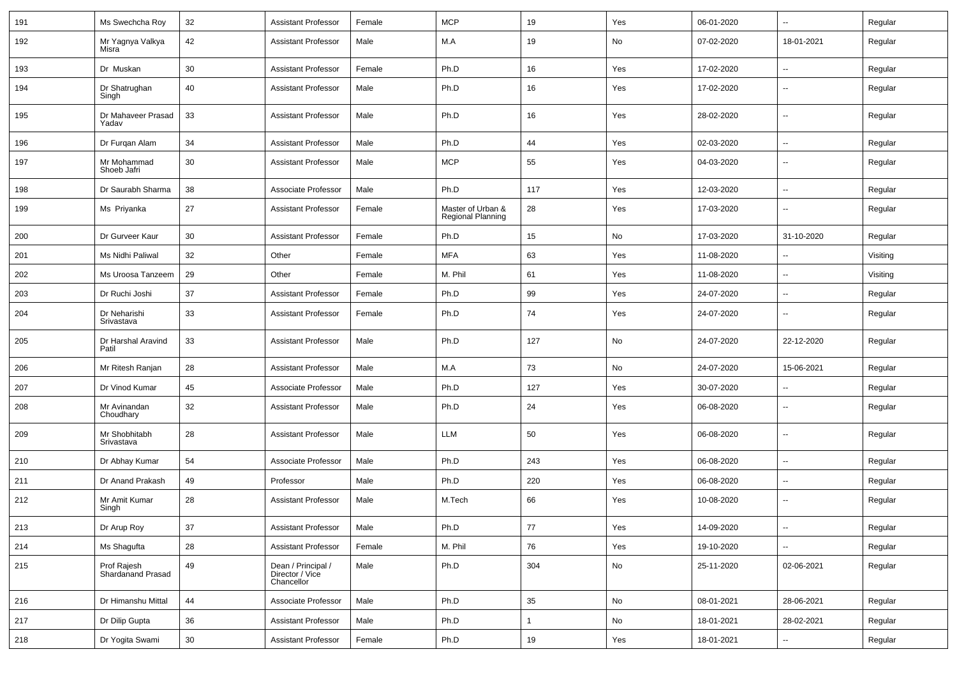| 191 | Ms Swechcha Roy                  | 32 | <b>Assistant Professor</b>                          | Female | <b>MCP</b>                                    | 19           | Yes | 06-01-2020 | u.                       | Regular  |
|-----|----------------------------------|----|-----------------------------------------------------|--------|-----------------------------------------------|--------------|-----|------------|--------------------------|----------|
| 192 | Mr Yagnya Valkya<br>Misra        | 42 | <b>Assistant Professor</b>                          | Male   | M.A                                           | 19           | No  | 07-02-2020 | 18-01-2021               | Regular  |
| 193 | Dr Muskan                        | 30 | <b>Assistant Professor</b>                          | Female | Ph.D                                          | 16           | Yes | 17-02-2020 | --                       | Regular  |
| 194 | Dr Shatrughan<br>Singh           | 40 | <b>Assistant Professor</b>                          | Male   | Ph.D                                          | 16           | Yes | 17-02-2020 | ۰.                       | Regular  |
| 195 | Dr Mahaveer Prasad<br>Yadav      | 33 | <b>Assistant Professor</b>                          | Male   | Ph.D                                          | 16           | Yes | 28-02-2020 | $\overline{\phantom{a}}$ | Regular  |
| 196 | Dr Furgan Alam                   | 34 | <b>Assistant Professor</b>                          | Male   | Ph.D                                          | 44           | Yes | 02-03-2020 | $\overline{\phantom{a}}$ | Regular  |
| 197 | Mr Mohammad<br>Shoeb Jafri       | 30 | <b>Assistant Professor</b>                          | Male   | <b>MCP</b>                                    | 55           | Yes | 04-03-2020 | ۰.                       | Regular  |
| 198 | Dr Saurabh Sharma                | 38 | Associate Professor                                 | Male   | Ph.D                                          | 117          | Yes | 12-03-2020 | --                       | Regular  |
| 199 | Ms Priyanka                      | 27 | <b>Assistant Professor</b>                          | Female | Master of Urban &<br><b>Regional Planning</b> | 28           | Yes | 17-03-2020 | ۰.                       | Regular  |
| 200 | Dr Gurveer Kaur                  | 30 | <b>Assistant Professor</b>                          | Female | Ph.D                                          | 15           | No  | 17-03-2020 | 31-10-2020               | Regular  |
| 201 | Ms Nidhi Paliwal                 | 32 | Other                                               | Female | <b>MFA</b>                                    | 63           | Yes | 11-08-2020 | $\overline{\phantom{a}}$ | Visiting |
| 202 | Ms Uroosa Tanzeem                | 29 | Other                                               | Female | M. Phil                                       | 61           | Yes | 11-08-2020 | u.                       | Visiting |
| 203 | Dr Ruchi Joshi                   | 37 | <b>Assistant Professor</b>                          | Female | Ph.D                                          | 99           | Yes | 24-07-2020 | $\overline{\phantom{a}}$ | Regular  |
| 204 | Dr Neharishi<br>Srivastava       | 33 | <b>Assistant Professor</b>                          | Female | Ph.D                                          | 74           | Yes | 24-07-2020 | ۰.                       | Regular  |
| 205 | Dr Harshal Aravind<br>Patil      | 33 | <b>Assistant Professor</b>                          | Male   | Ph.D                                          | 127          | No  | 24-07-2020 | 22-12-2020               | Regular  |
| 206 | Mr Ritesh Ranjan                 | 28 | <b>Assistant Professor</b>                          | Male   | M.A                                           | 73           | No  | 24-07-2020 | 15-06-2021               | Regular  |
| 207 | Dr Vinod Kumar                   | 45 | Associate Professor                                 | Male   | Ph.D                                          | 127          | Yes | 30-07-2020 | ۰.                       | Regular  |
| 208 | Mr Avinandan<br>Choudhary        | 32 | <b>Assistant Professor</b>                          | Male   | Ph.D                                          | 24           | Yes | 06-08-2020 | $\overline{\phantom{a}}$ | Regular  |
| 209 | Mr Shobhitabh<br>Srivastava      | 28 | <b>Assistant Professor</b>                          | Male   | LLM                                           | 50           | Yes | 06-08-2020 | $\overline{\phantom{a}}$ | Regular  |
| 210 | Dr Abhay Kumar                   | 54 | Associate Professor                                 | Male   | Ph.D                                          | 243          | Yes | 06-08-2020 | --                       | Regular  |
| 211 | Dr Anand Prakash                 | 49 | Professor                                           | Male   | Ph.D                                          | 220          | Yes | 06-08-2020 | $\overline{\phantom{a}}$ | Regular  |
| 212 | Mr Amit Kumar<br>Singh           | 28 | <b>Assistant Professor</b>                          | Male   | M.Tech                                        | 66           | Yes | 10-08-2020 | u.                       | Regular  |
| 213 | Dr Arup Roy                      | 37 | <b>Assistant Professor</b>                          | Male   | Ph.D                                          | 77           | Yes | 14-09-2020 | $\sim$                   | Regular  |
| 214 | Ms Shagufta                      | 28 | <b>Assistant Professor</b>                          | Female | M. Phil                                       | 76           | Yes | 19-10-2020 | Ξ.                       | Regular  |
| 215 | Prof Rajesh<br>Shardanand Prasad | 49 | Dean / Principal /<br>Director / Vice<br>Chancellor | Male   | Ph.D                                          | 304          | No  | 25-11-2020 | 02-06-2021               | Regular  |
| 216 | Dr Himanshu Mittal               | 44 | Associate Professor                                 | Male   | Ph.D                                          | 35           | No  | 08-01-2021 | 28-06-2021               | Regular  |
| 217 | Dr Dilip Gupta                   | 36 | <b>Assistant Professor</b>                          | Male   | Ph.D                                          | $\mathbf{1}$ | No  | 18-01-2021 | 28-02-2021               | Regular  |
| 218 | Dr Yogita Swami                  | 30 | <b>Assistant Professor</b>                          | Female | Ph.D                                          | 19           | Yes | 18-01-2021 | ۰.                       | Regular  |